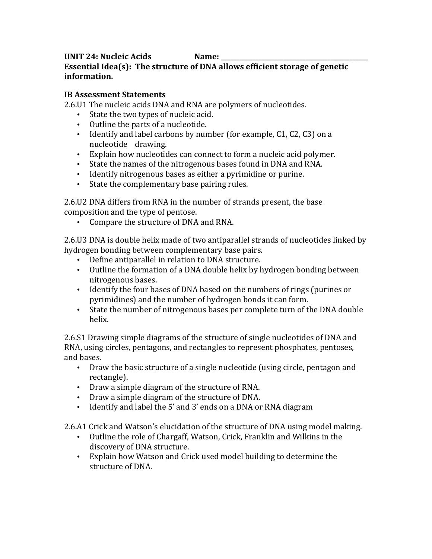## UNIT 24: Nucleic Acids **Name: Essential Idea(s): The structure of DNA allows efficient storage of genetic information.**

### **IB Assessment Statements**

2.6.U1 The nucleic acids DNA and RNA are polymers of nucleotides.

- State the two types of nucleic acid.
- Outline the parts of a nucleotide.
- Identify and label carbons by number (for example, C1, C2, C3) on a nucleotide drawing.
- Explain how nucleotides can connect to form a nucleic acid polymer.
- State the names of the nitrogenous bases found in DNA and RNA.
- Identify nitrogenous bases as either a pyrimidine or purine.
- State the complementary base pairing rules.

2.6.U2 DNA differs from RNA in the number of strands present, the base composition and the type of pentose.

• Compare the structure of DNA and RNA.

2.6.U3 DNA is double helix made of two antiparallel strands of nucleotides linked by hydrogen bonding between complementary base pairs.

- Define antiparallel in relation to DNA structure.
- Outline the formation of a DNA double helix by hydrogen bonding between nitrogenous bases.
- Identify the four bases of DNA based on the numbers of rings (purines or pyrimidines) and the number of hydrogen bonds it can form.
- State the number of nitrogenous bases per complete turn of the DNA double helix.

2.6.S1 Drawing simple diagrams of the structure of single nucleotides of DNA and RNA, using circles, pentagons, and rectangles to represent phosphates, pentoses, and bases.

- Draw the basic structure of a single nucleotide (using circle, pentagon and rectangle).
- Draw a simple diagram of the structure of RNA.
- Draw a simple diagram of the structure of DNA.
- Identify and label the 5' and 3' ends on a DNA or RNA diagram

2.6.A1 Crick and Watson's elucidation of the structure of DNA using model making.

- Outline the role of Chargaff, Watson, Crick, Franklin and Wilkins in the discovery of DNA structure.
- Explain how Watson and Crick used model building to determine the structure of DNA.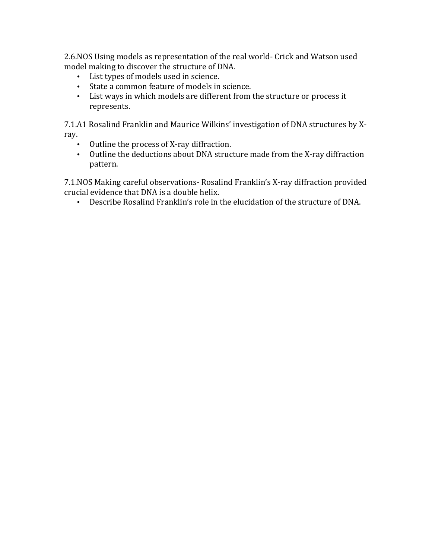2.6.NOS Using models as representation of the real world- Crick and Watson used model making to discover the structure of DNA.

- List types of models used in science.
- State a common feature of models in science.
- List ways in which models are different from the structure or process it represents.

7.1.A1 Rosalind Franklin and Maurice Wilkins' investigation of DNA structures by Xray.

- Outline the process of X-ray diffraction.
- Outline the deductions about DNA structure made from the X-ray diffraction pattern.

7.1.NOS Making careful observations- Rosalind Franklin's X-ray diffraction provided crucial evidence that DNA is a double helix.

• Describe Rosalind Franklin's role in the elucidation of the structure of DNA.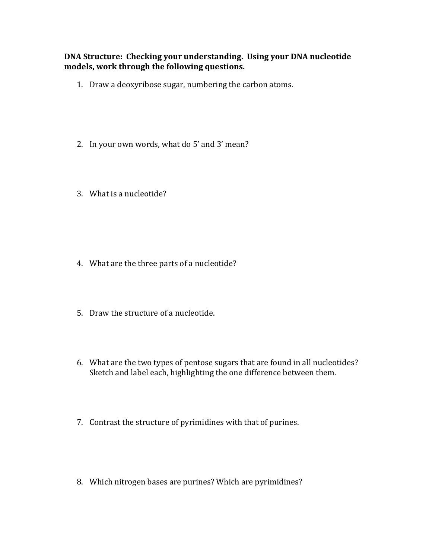### **DNA Structure: Checking your understanding. Using your DNA nucleotide** models, work through the following questions.

- 1. Draw a deoxyribose sugar, numbering the carbon atoms.
- 2. In your own words, what do 5' and 3' mean?
- 3. What is a nucleotide?

- 4. What are the three parts of a nucleotide?
- 5. Draw the structure of a nucleotide.
- 6. What are the two types of pentose sugars that are found in all nucleotides? Sketch and label each, highlighting the one difference between them.
- 7. Contrast the structure of pyrimidines with that of purines.
- 8. Which nitrogen bases are purines? Which are pyrimidines?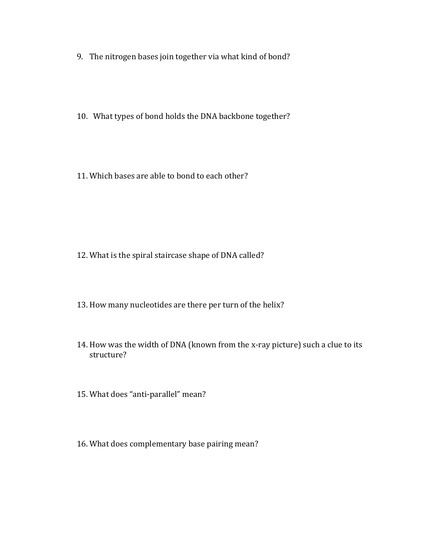- 9. The nitrogen bases join together via what kind of bond?
- 10. What types of bond holds the DNA backbone together?
- 11. Which bases are able to bond to each other?

- 12. What is the spiral staircase shape of DNA called?
- 13. How many nucleotides are there per turn of the helix?
- 14. How was the width of DNA (known from the x-ray picture) such a clue to its structure?
- 15. What does "anti-parallel" mean?
- 16. What does complementary base pairing mean?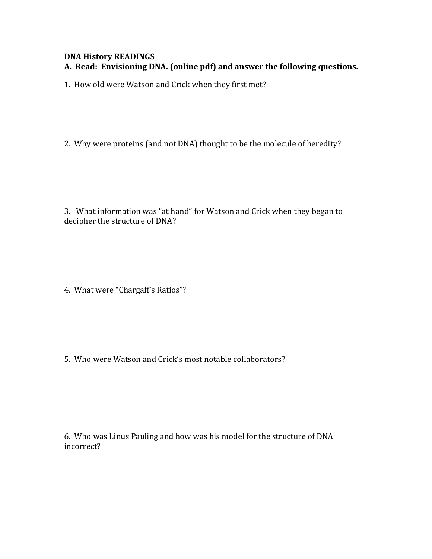# **DNA History READINGS** A. Read: Envisioning DNA. (online pdf) and answer the following questions.

1. How old were Watson and Crick when they first met?

2. Why were proteins (and not DNA) thought to be the molecule of heredity?

3. What information was "at hand" for Watson and Crick when they began to decipher the structure of DNA?

4. What were "Chargaff's Ratios"?

5. Who were Watson and Crick's most notable collaborators?

6. Who was Linus Pauling and how was his model for the structure of DNA incorrect?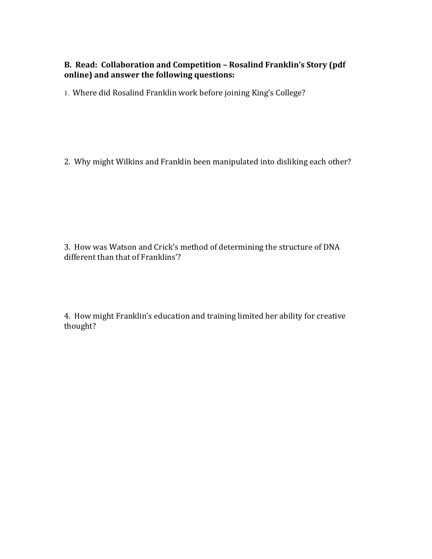## **B.** Read: Collaboration and Competition - Rosalind Franklin's Story (pdf) online) and answer the following questions:

1. Where did Rosalind Franklin work before joining King's College?

2. Why might Wilkins and Franklin been manipulated into disliking each other?

3. How was Watson and Crick's method of determining the structure of DNA different than that of Franklins'?

4. How might Franklin's education and training limited her ability for creative thought?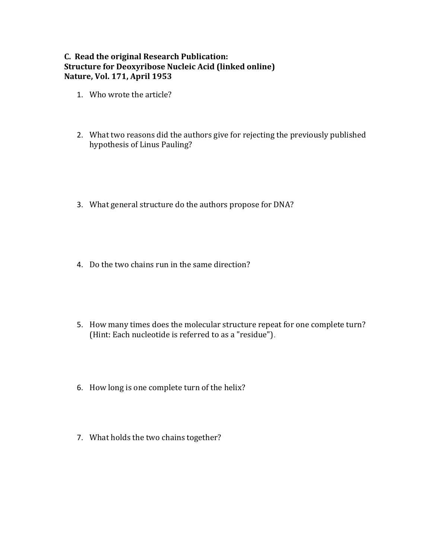## **C.** Read the original Research Publication: **Structure for Deoxyribose Nucleic Acid (linked online) Nature, Vol. 171, April 1953**

- 1. Who wrote the article?
- 2. What two reasons did the authors give for rejecting the previously published hypothesis of Linus Pauling?
- 3. What general structure do the authors propose for DNA?
- 4. Do the two chains run in the same direction?
- 5. How many times does the molecular structure repeat for one complete turn? (Hint: Each nucleotide is referred to as a "residue").
- 6. How long is one complete turn of the helix?
- 7. What holds the two chains together?